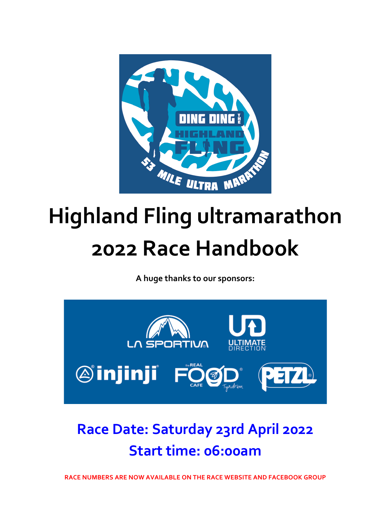

# **Highland Fling ultramarathon 2022 Race Handbook**

**A huge thanks to our sponsors:**



### **Race Date: Saturday 23rd April 2022 Start time: 06:00am**

**RACE NUMBERS ARE NOW AVAILABLE ON THE RACE WEBSITE AND FACEBOOK GROUP**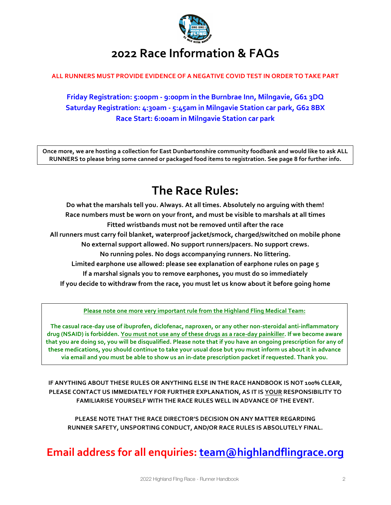

### **2022 Race Information & FAQs**

#### ALL RUNNERS MUST PROVIDE EVIDENCE OF A NEGATIVE COVID TEST IN ORDER TO TAKE PART

Friday Registration: 5:00pm - 9:00pm in the Burnbrae Inn, Milngavie, G61 3DQ **Saturday Registration: 4:30am - 5:45am in Milngavie Station car park, G62 8BX Race Start: 6:00am in Milngavie Station car park**

Once more, we are hosting a collection for East Dunbartonshire community foodbank and would like to ask ALL RUNNERS to please bring some canned or packaged food items to registration. See page 8 for further info.

### **The Race Rules:**

Do what the marshals tell you. Always. At all times. Absolutely no arguing with them! Race numbers must be worn on your front, and must be visible to marshals at all times Fitted wristbands must not be removed until after the race All runners must carry foil blanket, waterproof jacket/smock, charged/switched on mobile phone No external support allowed. No support runners/pacers. No support crews. No running poles. No dogs accompanying runners. No littering. **Limited earphone use allowed: please see explanation of earphone rules on page 5** If a marshal signals you to remove earphones, you must do so immediately If you decide to withdraw from the race, you must let us know about it before going home

**Please note one more very important rule from the Highland Fling Medical Team:** 

The casual race-day use of ibuprofen, diclofenac, naproxen, or any other non-steroidal anti-inflammatory drug (NSAID) is forbidden. You must not use any of these drugs as a race-day painkiller. If we become aware that you are doing so, you will be disqualified. Please note that if you have an ongoing prescription for any of these medications, you should continue to take your usual dose but you must inform us about it in advance via email and you must be able to show us an in-date prescription packet if requested. Thank you.

**IF ANYTHING ABOUT THESE RULES OR ANYTHING ELSE IN THE RACE HANDBOOK IS NOT 100% CLEAR, PLEASE CONTACT US IMMEDIATELY FOR FURTHER EXPLANATION, AS IT IS YOUR RESPONSIBILITY TO** FAMILIARISE YOURSELF WITH THE RACE RULES WELL IN ADVANCE OF THE EVENT.

**PLEASE NOTE THAT THE RACE DIRECTOR'S DECISION ON ANY MATTER REGARDING RUNNER SAFETY, UNSPORTING CONDUCT, AND/OR RACE RULES IS ABSOLUTELY FINAL.** 

### **Email address for all enquiries: <b>team@highlandflingrace.org**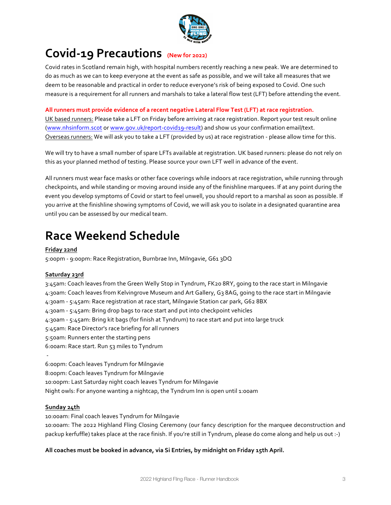

### **Covid-19 Precautions (New for 2022)**

Covid rates in Scotland remain high, with hospital numbers recently reaching a new peak. We are determined to do as much as we can to keep everyone at the event as safe as possible, and we will take all measures that we deem to be reasonable and practical in order to reduce everyone's risk of being exposed to Covid. One such measure is a requirement for all runners and marshals to take a lateral flow test (LFT) before attending the event.

#### All runners must provide evidence of a recent negative Lateral Flow Test (LFT) at race registration.

UK based runners: Please take a LFT on Friday before arriving at race registration. Report your test result online (www.nhsinform.scot or www.qov.uk/report-covid19-result) and show us your confirmation email/text. Overseas runners: We will ask you to take a LFT (provided by us) at race registration - please allow time for this.

We will try to have a small number of spare LFTs available at registration. UK based runners: please do not rely on this as your planned method of testing. Please source your own LFT well in advance of the event.

All runners must wear face masks or other face coverings while indoors at race registration, while running through checkpoints, and while standing or moving around inside any of the finishline marguees. If at any point during the event you develop symptoms of Covid or start to feel unwell, you should report to a marshal as soon as possible. If you arrive at the finishline showing symptoms of Covid, we will ask you to isolate in a designated quarantine area until you can be assessed by our medical team.

### **Race Weekend Schedule**

#### **Friday 22nd**

5:00pm - 9:00pm: Race Registration, Burnbrae Inn, Milngavie, G61 3DQ

#### **Saturday 23rd**

3:45am: Coach leaves from the Green Welly Stop in Tyndrum, FK20 8RY, going to the race start in Milngavie 4:30am: Coach leaves from Kelvingrove Museum and Art Gallery, G3 8AG, going to the race start in Milngavie 4:30am - 5:45am: Race registration at race start, Milngavie Station car park, G62 8BX 4:30am - 5:45am: Bring drop bags to race start and put into checkpoint vehicles 4:30am - 5:45am: Bring kit bags (for finish at Tyndrum) to race start and put into large truck 5:45am: Race Director's race briefing for all runners 5:50am: Runners enter the starting pens 6:00am: Race start. Run 53 miles to Tyndrum - 6:00pm: Coach leaves Tyndrum for Milngavie 8:00pm: Coach leaves Tyndrum for Milngavie

10:00pm: Last Saturday night coach leaves Tyndrum for Milngavie

Night owls: For anyone wanting a nightcap, the Tyndrum Inn is open until 1:00am

#### **Sunday 24th**

10:00am: Final coach leaves Tyndrum for Milngavie 10:00am: The 2022 Highland Fling Closing Ceremony (our fancy description for the marquee deconstruction and packup kerfuffle) takes place at the race finish. If you're still in Tyndrum, please do come along and help us out :-)

#### All coaches must be booked in advance, via Si Entries, by midnight on Friday 15th April.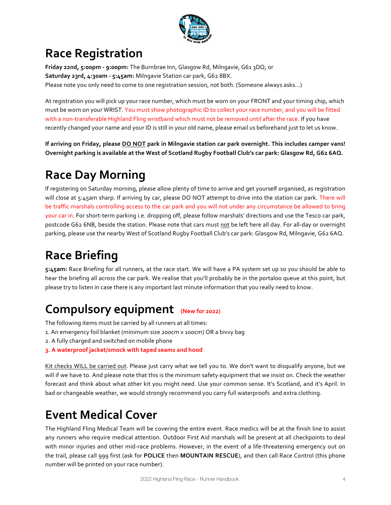

### **Race Registration**

**Friday 22nd, 5:00pm - 9:00pm:** The Burnbrae Inn, Glasgow Rd, Milngavie, G61 3DQ, or Saturday 23rd, 4:30am - 5:45am: Milngavie Station car park, G62 8BX. Please note you only need to come to one registration session, not both. (Someone always asks...)

At registration you will pick up your race number, which must be worn on your FRONT and your timing chip, which must be worn on your WRIST. You must show photographic ID to collect your race number, and you will be fitted with a non-transferable Highland Fling wristband which must not be removed until after the race. If you have recently changed your name and your ID is still in your old name, please email us beforehand just to let us know.

If arriving on Friday, please DO NOT park in Milngavie station car park overnight. This includes camper vans! Overnight parking is available at the West of Scotland Rugby Football Club's car park: Glasgow Rd, G62 6AQ.

### **Race Day Morning**

If registering on Saturday morning, please allow plenty of time to arrive and get yourself organised, as registration will close at 5:45am sharp. If arriving by car, please DO NOT attempt to drive into the station car park. There will be traffic marshals controlling access to the car park and you will not under any circumstance be allowed to bring your car in. For short-term parking i.e. dropping off, please follow marshals' directions and use the Tesco car park, postcode G62 6NB, beside the station. Please note that cars must not be left here all day. For all-day or overnight parking, please use the nearby West of Scotland Rugby Football Club's car park: Glasgow Rd, Milngavie, G62 6AQ.

### **Race Briefing**

5:45am: Race Briefing for all runners, at the race start. We will have a PA system set up so you should be able to hear the briefing all across the car park. We realise that you'll probably be in the portaloo queue at this point, but please try to listen in case there is any important last minute information that you really need to know.

### **Compulsory equipment** (New for 2022)

The following items must be carried by all runners at all times:

- 1. An emergency foil blanket (minimum size 200cm x 100cm) OR a bivvy bag
- 2. A fully charged and switched on mobile phone
- **3. A waterproof jacket/smock with taped seams and hood**

Kit checks WILL be carried out. Please just carry what we tell you to. We don't want to disqualify anyone, but we will if we have to. And please note that this is the minimum safety equipment that we insist on. Check the weather forecast and think about what other kit you might need. Use your common sense. It's Scotland, and it's April. In bad or changeable weather, we would strongly recommend you carry full waterproofs and extra clothing.

### **Event Medical Cover**

The Highland Fling Medical Team will be covering the entire event. Race medics will be at the finish line to assist any runners who require medical attention. Outdoor First Aid marshals will be present at all checkpoints to deal with minor injuries and other mid-race problems. However, in the event of a life-threatening emergency out on the trail, please call 999 first (ask for POLICE then MOUNTAIN RESCUE), and then call Race Control (this phone number will be printed on your race number).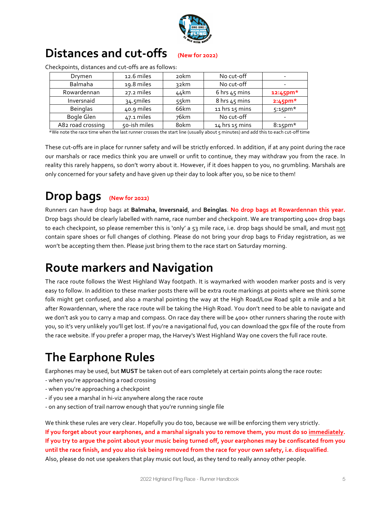

### **Distances and cut-offs (New for 2022)**

| Drymen            | 12.6 miles   | 20 <sub>km</sub> | No cut-off      |             |
|-------------------|--------------|------------------|-----------------|-------------|
| Balmaha           | 19.8 miles   | 32km             | No cut-off      |             |
| Rowardennan       | 27.2 miles   | 44km             | 6 hrs $45$ mins | $12:45$ pm* |
| Inversnaid        | 34.5miles    | 55km             | 8 hrs 45 mins   | $2:45$ pm*  |
| <b>Beinglas</b>   | 40.9 miles   | 66km             | 11 hrs 15 mins  | $5:15$ pm*  |
| Bogle Glen        | 47.1 miles   | 76km             | No cut-off      |             |
| A82 road crossing | 50-ish miles | 8okm             | 14 hrs 15 mins  | $8:15$ pm*  |

Checkpoints, distances and cut-offs are as follows:

\*We note the race time when the last runner crosses the start line (usually about 5 minutes) and add this to each cut-off time

These cut-offs are in place for runner safety and will be strictly enforced. In addition, if at any point during the race our marshals or race medics think you are unwell or unfit to continue, they may withdraw you from the race. In reality this rarely happens, so don't worry about it. However, if it does happen to you, no grumbling. Marshals are only concerned for your safety and have given up their day to look after you, so be nice to them!

### Drop bags (New for 2022)

Runners can have drop bags at Balmaha, Inversnaid, and Beinglas. No drop bags at Rowardennan this year. Drop bags should be clearly labelled with name, race number and checkpoint. We are transporting 400+ drop bags to each checkpoint, so please remember this is 'only' a 53 mile race, i.e. drop bags should be small, and must not contain spare shoes or full changes of clothing. Please do not bring your drop bags to Friday registration, as we won't be accepting them then. Please just bring them to the race start on Saturday morning.

### **Route markers and Navigation**

The race route follows the West Highland Way footpath. It is waymarked with wooden marker posts and is very easy to follow. In addition to these marker posts there will be extra route markings at points where we think some folk might get confused, and also a marshal pointing the way at the High Road/Low Road split a mile and a bit after Rowardennan, where the race route will be taking the High Road. You don't need to be able to navigate and we don't ask you to carry a map and compass. On race day there will be 400+ other runners sharing the route with you, so it's very unlikely you'll get lost. If you're a navigational fud, you can download the gpx file of the route from the race website. If you prefer a proper map, the Harvey's West Highland Way one covers the full race route.

### **The Earphone Rules**

Earphones may be used, but **MUST** be taken out of ears completely at certain points along the race route:

- when you're approaching a road crossing
- when you're approaching a checkpoint
- if you see a marshal in hi-viz anywhere along the race route
- on any section of trail narrow enough that you're running single file

We think these rules are very clear. Hopefully you do too, because we will be enforcing them very strictly. If you forget about your earphones, and a marshal signals you to remove them, you must do so immediately. If you try to arque the point about your music being turned off, your earphones may be confiscated from you until the race finish, and you also risk being removed from the race for your own safety, i.e. disqualified. Also, please do not use speakers that play music out loud, as they tend to really annoy other people.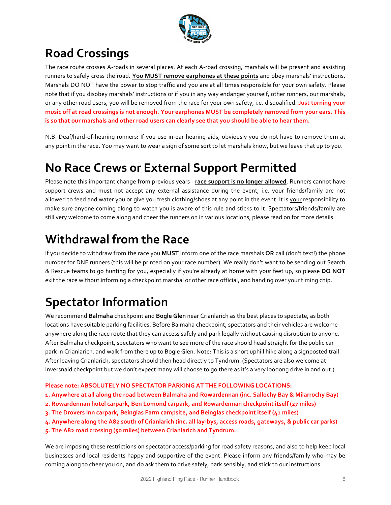

### **Road Crossings**

The race route crosses A-roads in several places. At each A-road crossing, marshals will be present and assisting runners to safely cross the road. You MUST remove earphones at these points and obey marshals' instructions. Marshals DO NOT have the power to stop traffic and you are at all times responsible for your own safety. Please note that if you disobey marshals' instructions or if you in any way endanger yourself, other runners, our marshals, or any other road users, you will be removed from the race for your own safety, i.e. disqualified. Just turning your music off at road crossings is not enough. Your earphones MUST be completely removed from your ears. This is so that our marshals and other road users can clearly see that you should be able to hear them.

N.B. Deaf/hard-of-hearing runners: If you use in-ear hearing aids, obviously you do not have to remove them at any point in the race. You may want to wear a sign of some sort to let marshals know, but we leave that up to you.

### **No Race Crews or External Support Permitted**

Please note this important change from previous years - race support is no longer allowed. Runners cannot have support crews and must not accept any external assistance during the event, i.e. your friends/family are not allowed to feed and water you or give you fresh clothing/shoes at any point in the event. It is your responsibility to make sure anyone coming along to watch you is aware of this rule and sticks to it. Spectators/friends/family are still very welcome to come along and cheer the runners on in various locations, please read on for more details.

### **Withdrawal from the Race**

If you decide to withdraw from the race you MUST inform one of the race marshals OR call (don't text!) the phone number for DNF runners (this will be printed on your race number). We really don't want to be sending out Search & Rescue teams to go hunting for you, especially if you're already at home with your feet up, so please **DO NOT** exit the race without informing a checkpoint marshal or other race official, and handing over your timing chip.

### **Spectator Information**

We recommend **Balmaha** checkpoint and **Bogle Glen** near Crianlarich as the best places to spectate, as both locations have suitable parking facilities. Before Balmaha checkpoint, spectators and their vehicles are welcome anywhere along the race route that they can access safely and park legally without causing disruption to anyone. After Balmaha checkpoint, spectators who want to see more of the race should head straight for the public car park in Crianlarich, and walk from there up to Bogle Glen. Note: This is a short uphill hike along a signposted trail. After leaving Crianlarich, spectators should then head directly to Tyndrum. (Spectators are also welcome at Inversnaid checkpoint but we don't expect many will choose to go there as it's a very loooong drive in and out.)

**Please note: ABSOLUTELY NO SPECTATOR PARKING AT THE FOLLOWING LOCATIONS:** 

- **1. Anywhere at all along the road between Balmaha and Rowardennan (inc. Sallochy Bay & Milarrochy Bay)**
- 2. Rowardennan hotel carpark, Ben Lomond carpark, and Rowardennan checkpoint itself (27 miles)
- **3. The Drovers Inn carpark, Beinglas Farm campsite, and Beinglas checkpoint itself (41 miles)**
- **4. Anywhere along the A82 south of Crianlarich (inc. all lay-bys, access roads, gateways, & public car parks)**
- **5. The A82 road crossing (50 miles) between Crianlarich and Tyndrum.**

We are imposing these restrictions on spectator access/parking for road safety reasons, and also to help keep local businesses and local residents happy and supportive of the event. Please inform any friends/family who may be coming along to cheer you on, and do ask them to drive safely, park sensibly, and stick to our instructions.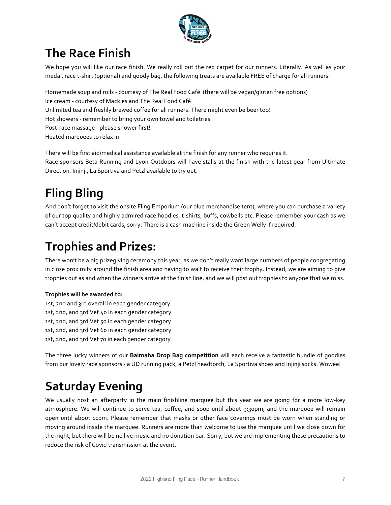

### **The Race Finish**

We hope you will like our race finish. We really roll out the red carpet for our runners. Literally. As well as your medal, race t-shirt (optional) and goody bag, the following treats are available FREE of charge for all runners:

Homemade soup and rolls - courtesy of The Real Food Café (there will be vegan/gluten free options) Ice cream - courtesy of Mackies and The Real Food Café Unlimited tea and freshly brewed coffee for all runners. There might even be beer too! Hot showers - remember to bring your own towel and toiletries Post-race massage - please shower first! Heated marquees to relax in

There will be first aid/medical assistance available at the finish for any runner who requires it. Race sponsors Beta Running and Lyon Outdoors will have stalls at the finish with the latest gear from Ultimate Direction, Injinji, La Sportiva and Petzl available to try out.

### **Fling Bling**

And don't forget to visit the onsite Fling Emporium (our blue merchandise tent), where you can purchase a variety of our top quality and highly admired race hoodies, t-shirts, buffs, cowbells etc. Please remember your cash as we can't accept credit/debit cards, sorry. There is a cash machine inside the Green Welly if required.

### **Trophies and Prizes:**

There won't be a big prizegiving ceremony this year, as we don't really want large numbers of people congregating in close proximity around the finish area and having to wait to receive their trophy. Instead, we are aiming to give trophies out as and when the winners arrive at the finish line, and we will post out trophies to anyone that we miss.

#### **Trophies will be awarded to:**

1st, 2nd and 3rd overall in each gender category 1st, 2nd, and 3rd Vet 40 in each gender category 1st, 2nd, and 3rd Vet 50 in each gender category 1st, 2nd, and 3rd Vet 60 in each gender category 1st, 2nd, and 3rd Vet 70 in each gender category

The three lucky winners of our **Balmaha Drop Bag competition** will each receive a fantastic bundle of goodies from our lovely race sponsors - a UD running pack, a Petzl headtorch, La Sportiva shoes and Injinji socks. Wowee!

### **Saturday Evening**

We usually host an afterparty in the main finishline marquee but this year we are going for a more low-key atmosphere. We will continue to serve tea, coffee, and soup until about 9:30pm, and the marquee will remain open until about 11pm. Please remember that masks or other face coverings must be worn when standing or moving around inside the marquee. Runners are more than welcome to use the marquee until we close down for the night, but there will be no live music and no donation bar. Sorry, but we are implementing these precautions to reduce the risk of Covid transmission at the event.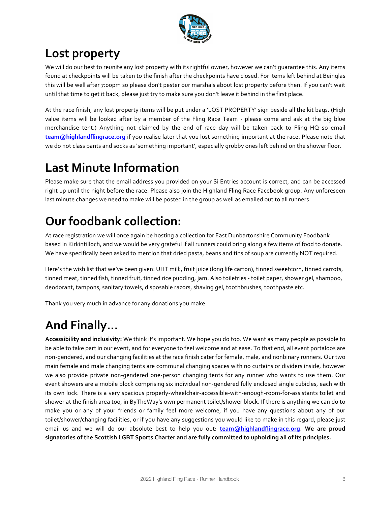

### Lost property

We will do our best to reunite any lost property with its rightful owner, however we can't quarantee this. Any items found at checkpoints will be taken to the finish after the checkpoints have closed. For items left behind at Beinglas this will be well after 7:00pm so please don't pester our marshals about lost property before then. If you can't wait until that time to get it back, please just try to make sure you don't leave it behind in the first place.

At the race finish, any lost property items will be put under a 'LOST PROPERTY' sign beside all the kit bags. (High value items will be looked after by a member of the Fling Race Team - please come and ask at the big blue merchandise tent.) Anything not claimed by the end of race day will be taken back to Fling HQ so email **team@highlandflingrace.org** if you realise later that you lost something important at the race. Please note that we do not class pants and socks as 'something important', especially grubby ones left behind on the shower floor.

### **Last Minute Information**

Please make sure that the email address you provided on your Si Entries account is correct, and can be accessed right up until the night before the race. Please also join the Highland Fling Race Facebook group. Any unforeseen last minute changes we need to make will be posted in the group as well as emailed out to all runners.

### **Our foodbank collection:**

At race registration we will once again be hosting a collection for East Dunbartonshire Community Foodbank based in Kirkintilloch, and we would be very grateful if all runners could bring along a few items of food to donate. We have specifically been asked to mention that dried pasta, beans and tins of soup are currently NOT required.

Here's the wish list that we've been given: UHT milk, fruit juice (long life carton), tinned sweetcorn, tinned carrots, tinned meat, tinned fish, tinned fruit, tinned rice pudding, jam. Also toiletries - toilet paper, shower gel, shampoo, deodorant, tampons, sanitary towels, disposable razors, shaving gel, toothbrushes, toothpaste etc.

Thank you very much in advance for any donations you make.

### And Finally...

**Accessibility and inclusivity:** We think it's important. We hope you do too. We want as many people as possible to be able to take part in our event, and for everyone to feel welcome and at ease. To that end, all event portaloos are non-gendered, and our changing facilities at the race finish cater for female, male, and nonbinary runners. Our two main female and male changing tents are communal changing spaces with no curtains or dividers inside, however we also provide private non-gendered one-person changing tents for any runner who wants to use them. Our event showers are a mobile block comprising six individual non-gendered fully enclosed single cubicles, each with its own lock. There is a very spacious properly-wheelchair-accessible-with-enough-room-for-assistants toilet and shower at the finish area too, in ByTheWay's own permanent toilet/shower block. If there is anything we can do to make you or any of your friends or family feel more welcome, if you have any questions about any of our toilet/shower/changing facilities, or if you have any suggestions you would like to make in this regard, please just email us and we will do our absolute best to help you out: **team@highlandflingrace.org. We are proud** signatories of the Scottish LGBT Sports Charter and are fully committed to upholding all of its principles.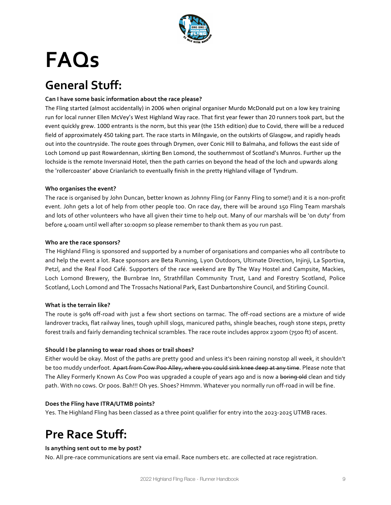

## **FAQs**

### **General Stuff:**

#### Can I have some basic information about the race please?

The Fling started (almost accidentally) in 2006 when original organiser Murdo McDonald put on a low key training run for local runner Ellen McVey's West Highland Way race. That first year fewer than 20 runners took part, but the event quickly grew. 1000 entrants is the norm, but this year (the 15th edition) due to Covid, there will be a reduced field of approximately 450 taking part. The race starts in Milngavie, on the outskirts of Glasgow, and rapidly heads out into the countryside. The route goes through Drymen, over Conic Hill to Balmaha, and follows the east side of Loch Lomond up past Rowardennan, skirting Ben Lomond, the southernmost of Scotland's Munros. Further up the lochside is the remote Inversnaid Hotel, then the path carries on beyond the head of the loch and upwards along the 'rollercoaster' above Crianlarich to eventually finish in the pretty Highland village of Tyndrum.

#### Who organises the event?

The race is organised by John Duncan, better known as Johnny Fling (or Fanny Fling to some!) and it is a non-profit event. John gets a lot of help from other people too. On race day, there will be around 150 Fling Team marshals and lots of other volunteers who have all given their time to help out. Many of our marshals will be 'on duty' from before 4:00am until well after 10:00pm so please remember to thank them as you run past.

#### **Who are the race sponsors?**

The Highland Fling is sponsored and supported by a number of organisations and companies who all contribute to and help the event a lot. Race sponsors are Beta Running, Lyon Outdoors, Ultimate Direction, Injinji, La Sportiva, Petzl, and the Real Food Café. Supporters of the race weekend are By The Way Hostel and Campsite, Mackies, Loch Lomond Brewery, the Burnbrae Inn, Strathfillan Community Trust, Land and Forestry Scotland, Police Scotland, Loch Lomond and The Trossachs National Park, East Dunbartonshire Council, and Stirling Council.

#### **What is the terrain like?**

The route is 90% off-road with just a few short sections on tarmac. The off-road sections are a mixture of wide landrover tracks, flat railway lines, tough uphill slogs, manicured paths, shingle beaches, rough stone steps, pretty forest trails and fairly demanding technical scrambles. The race route includes approx 2300m (7500 ft) of ascent.

#### Should I be planning to wear road shoes or trail shoes?

Either would be okay. Most of the paths are pretty good and unless it's been raining nonstop all week, it shouldn't be too muddy underfoot. Apart from Cow Poo Alley, where you could sink knee deep at any time. Please note that The Alley Formerly Known As Cow Poo was upgraded a couple of years ago and is now a boring old clean and tidy path. With no cows. Or poos. Bah!!! Oh yes. Shoes? Hmmm. Whatever you normally run off-road in will be fine.

#### **Does the Fling have ITRA/UTMB points?**

Yes. The Highland Fling has been classed as a three point qualifier for entry into the 2023-2025 UTMB races.

### **Pre Race Stuff:**

#### **Is anything sent out to me by post?**

No. All pre-race communications are sent via email. Race numbers etc. are collected at race registration.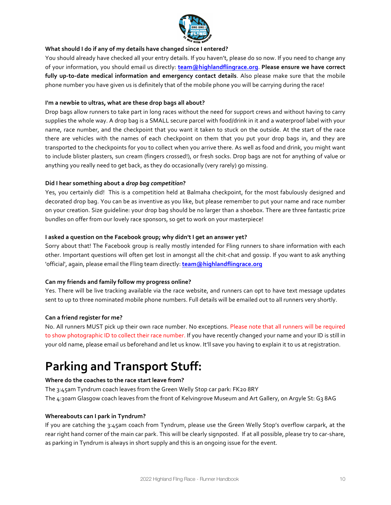

#### **What should I do if any of my details have changed since I entered?**

You should already have checked all your entry details. If you haven't, please do so now. If you need to change any of your information, you should email us directly: team@highlandflingrace.org. Please ensure we have correct fully up-to-date medical information and emergency contact details. Also please make sure that the mobile phone number you have given us is definitely that of the mobile phone you will be carrying during the race!

#### I'm a newbie to ultras, what are these drop bags all about?

Drop bags allow runners to take part in long races without the need for support crews and without having to carry supplies the whole way. A drop bag is a SMALL secure parcel with food/drink in it and a waterproof label with your name, race number, and the checkpoint that you want it taken to stuck on the outside. At the start of the race there are vehicles with the names of each checkpoint on them that you put your drop bags in, and they are transported to the checkpoints for you to collect when you arrive there. As well as food and drink, you might want to include blister plasters, sun cream (fingers crossed!), or fresh socks. Drop bags are not for anything of value or anything you really need to get back, as they do occasionally (very rarely) go missing.

#### **Did I hear something about a** *drop bag competition***?**

Yes, you certainly did! This is a competition held at Balmaha checkpoint, for the most fabulously designed and decorated drop bag. You can be as inventive as you like, but please remember to put your name and race number on your creation. Size quideline: your drop bag should be no larger than a shoebox. There are three fantastic prize bundles on offer from our lovely race sponsors, so get to work on your masterpiece!

#### I asked a question on the Facebook group; why didn't I get an answer yet?

Sorry about that! The Facebook group is really mostly intended for Fling runners to share information with each other. Important questions will often get lost in amongst all the chit-chat and gossip. If you want to ask anything 'official', again, please email the Fling team directly: **team@highlandflingrace.org** 

#### Can my friends and family follow my progress online?

Yes. There will be live tracking available via the race website, and runners can opt to have text message updates sent to up to three nominated mobile phone numbers. Full details will be emailed out to all runners very shortly.

#### **Can a friend register for me?**

No. All runners MUST pick up their own race number. No exceptions. Please note that all runners will be required to show photographic ID to collect their race number. If you have recently changed your name and your ID is still in your old name, please email us beforehand and let us know. It'll save you having to explain it to us at registration.

### **Parking and Transport Stuff:**

#### **Where do the coaches to the race start leave from?**

The 3:45am Tyndrum coach leaves from the Green Welly Stop car park: FK20 8RY The 4:30am Glasgow coach leaves from the front of Kelvingrove Museum and Art Gallery, on Argyle St: G3 8AG

#### **Whereabouts can I park in Tyndrum?**

If you are catching the 3:45am coach from Tyndrum, please use the Green Welly Stop's overflow carpark, at the rear right hand corner of the main car park. This will be clearly signposted. If at all possible, please try to car-share, as parking in Tyndrum is always in short supply and this is an ongoing issue for the event.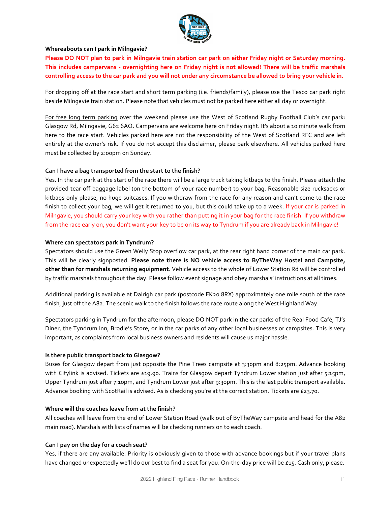

#### **Whereabouts can I park in Milngavie?**

**Please DO NOT plan to park in Milngavie train station car park on either Friday night or Saturday morning.** This includes campervans - overnighting here on Friday night is not allowed! There will be traffic marshals controlling access to the car park and you will not under any circumstance be allowed to bring your vehicle in.

For dropping off at the race start and short term parking (i.e. friends/family), please use the Tesco car park right beside Milngavie train station. Please note that vehicles must not be parked here either all day or overnight.

For free long term parking over the weekend please use the West of Scotland Rugby Football Club's car park: Glasgow Rd, Milngavie, G62 6AQ. Campervans are welcome here on Friday night. It's about a 10 minute walk from here to the race start. Vehicles parked here are not the responsibility of the West of Scotland RFC and are left entirely at the owner's risk. If you do not accept this disclaimer, please park elsewhere. All vehicles parked here must be collected by 2:00pm on Sunday.

#### Can I have a bag transported from the start to the finish?

Yes. In the car park at the start of the race there will be a large truck taking kitbags to the finish. Please attach the provided tear off baggage label (on the bottom of your race number) to your bag. Reasonable size rucksacks or kitbags only please, no huge suitcases. If you withdraw from the race for any reason and can't come to the race finish to collect your bag, we will get it returned to you, but this could take up to a week. If your car is parked in Milngavie, you should carry your key with you rather than putting it in your bag for the race finish. If you withdraw from the race early on, you don't want your key to be on its way to Tyndrum if you are already back in Milngavie!

#### **Where can spectators park in Tyndrum?**

Spectators should use the Green Welly Stop overflow car park, at the rear right hand corner of the main car park. This will be clearly signposted. Please note there is NO vehicle access to ByTheWay Hostel and Campsite, **other than for marshals returning equipment**. Vehicle access to the whole of Lower Station Rd will be controlled by traffic marshals throughout the day. Please follow event signage and obey marshals' instructions at all times.

Additional parking is available at Dalrigh car park (postcode FK20 8RX) approximately one mile south of the race finish, just off the A82. The scenic walk to the finish follows the race route along the West Highland Way.

Spectators parking in Tyndrum for the afternoon, please DO NOT park in the car parks of the Real Food Café, TJ's Diner, the Tyndrum Inn, Brodie's Store, or in the car parks of any other local businesses or campsites. This is very important, as complaints from local business owners and residents will cause us major hassle.

#### **Is there public transport back to Glasgow?**

Buses for Glasgow depart from just opposite the Pine Trees campsite at 3:30pm and 8:25pm. Advance booking with Citylink is advised. Tickets are £19.90. Trains for Glasgow depart Tyndrum Lower station just after 5:15pm, Upper Tyndrum just after 7:10pm, and Tyndrum Lower just after 9:30pm. This is the last public transport available. Advance booking with ScotRail is advised. As is checking you're at the correct station. Tickets are £23.70.

#### **Where will the coaches leave from at the finish?**

All coaches will leave from the end of Lower Station Road (walk out of ByTheWay campsite and head for the A82 main road). Marshals with lists of names will be checking runners on to each coach.

#### Can I pay on the day for a coach seat?

Yes, if there are any available. Priority is obviously given to those with advance bookings but if your travel plans have changed unexpectedly we'll do our best to find a seat for you. On-the-day price will be £15. Cash only, please.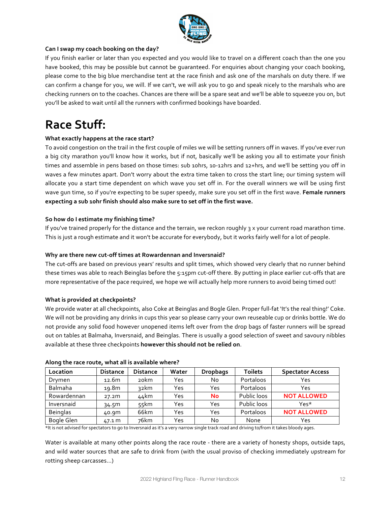

#### Can I swap my coach booking on the day?

If you finish earlier or later than you expected and you would like to travel on a different coach than the one you have booked, this may be possible but cannot be quaranteed. For enquiries about changing your coach booking, please come to the big blue merchandise tent at the race finish and ask one of the marshals on duty there. If we can confirm a change for you, we will. If we can't, we will ask you to go and speak nicely to the marshals who are checking runners on to the coaches. Chances are there will be a spare seat and we'll be able to squeeze you on, but you'll be asked to wait until all the runners with confirmed bookings have boarded.

### **Race Stuff:**

#### **What exactly happens at the race start?**

To avoid congestion on the trail in the first couple of miles we will be setting runners off in waves. If you've ever run a big city marathon you'll know how it works, but if not, basically we'll be asking you all to estimate your finish times and assemble in pens based on those times: sub 10hrs, 10-12hrs and 12+hrs, and we'll be setting you off in waves a few minutes apart. Don't worry about the extra time taken to cross the start line; our timing system will allocate you a start time dependent on which wave you set off in. For the overall winners we will be using first wave qun time, so if you're expecting to be super speedy, make sure you set off in the first wave. Female runners expecting a sub 10hr finish should also make sure to set off in the first wave.

#### **So how do I estimate my finishing time?**

If you've trained properly for the distance and the terrain, we reckon roughly  $\frac{1}{3}$  x your current road marathon time. This is just a rough estimate and it won't be accurate for everybody, but it works fairly well for a lot of people.

#### Why are there new cut-off times at Rowardennan and Inversnaid?

The cut-offs are based on previous years' results and split times, which showed very clearly that no runner behind these times was able to reach Beinglas before the 5:15pm cut-off there. By putting in place earlier cut-offs that are more representative of the pace required, we hope we will actually help more runners to avoid being timed out!

#### **What is provided at checkpoints?**

We provide water at all checkpoints, also Coke at Beinglas and Bogle Glen. Proper full-fat 'It's the real thing!' Coke. We will not be providing any drinks in cups this year so please carry your own reuseable cup or drinks bottle. We do not provide any solid food however unopened items left over from the drop bags of faster runners will be spread out on tables at Balmaha, Inversnaid, and Beinglas. There is usually a good selection of sweet and savoury nibbles available at these three checkpoints **however this should not be relied on**.

| Location        | <b>Distance</b> | <b>Distance</b> | Water | <b>Dropbags</b> | <b>Toilets</b>   | <b>Spectator Access</b> |
|-----------------|-----------------|-----------------|-------|-----------------|------------------|-------------------------|
| Drymen          | 12.6m           | 20km            | Yes   | No.             | <b>Portaloos</b> | Yes                     |
| Balmaha         | 19.8m           | 32km            | Yes   | Yes             | <b>Portaloos</b> | Yes                     |
| Rowardennan     | 27.2m           | 44km            | Yes   | <b>No</b>       | Public loos      | <b>NOT ALLOWED</b>      |
| Inversnaid      | 34.5M           | 55km            | Yes   | Yes             | Public loos      | Yes*                    |
| <b>Beinglas</b> | 40.9m           | 66km            | Yes   | Yes             | <b>Portaloos</b> | <b>NOT ALLOWED</b>      |
| Bogle Glen      | 47.1 m          | 76km            | Yes   | No              | None             | Yes                     |

#### Along the race route, what all is available where?

\*It is not advised for spectators to go to Inversnaid as it's a very narrow single track road and driving to/from it takes bloody ages.

Water is available at many other points along the race route - there are a variety of honesty shops, outside taps, and wild water sources that are safe to drink from (with the usual proviso of checking immediately upstream for rotting sheep carcasses...)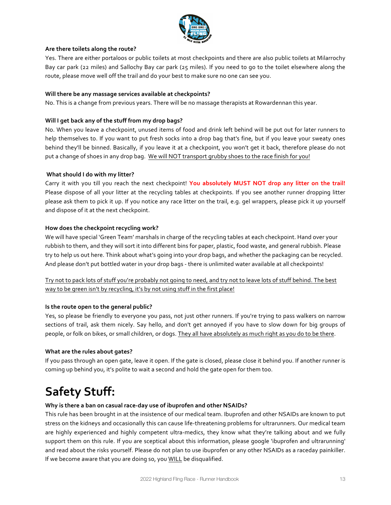

#### Are there toilets along the route?

Yes. There are either portaloos or public toilets at most checkpoints and there are also public toilets at Milarrochy Bay car park (22 miles) and Sallochy Bay car park (25 miles). If you need to go to the toilet elsewhere along the route, please move well off the trail and do your best to make sure no one can see you.

#### **Will there be any massage services available at checkpoints?**

No. This is a change from previous years. There will be no massage therapists at Rowardennan this year.

#### **Will I get back any of the stuff from my drop bags?**

No. When you leave a checkpoint, unused items of food and drink left behind will be put out for later runners to help themselves to. If you want to put fresh socks into a drop bag that's fine, but if you leave your sweaty ones behind they'll be binned. Basically, if you leave it at a checkpoint, you won't get it back, therefore please do not put a change of shoes in any drop bag. We will NOT transport grubby shoes to the race finish for you!

#### **What should I do with my litter?**

Carry it with you till you reach the next checkpoint! You absolutely MUST NOT drop any litter on the trail! Please dispose of all your litter at the recycling tables at checkpoints. If you see another runner dropping litter please ask them to pick it up. If you notice any race litter on the trail, e.g. gel wrappers, please pick it up yourself and dispose of it at the next checkpoint.

#### How does the checkpoint recycling work?

We will have special 'Green Team' marshals in charge of the recycling tables at each checkpoint. Hand over your rubbish to them, and they will sort it into different bins for paper, plastic, food waste, and general rubbish. Please try to help us out here. Think about what's going into your drop bags, and whether the packaging can be recycled. And please don't put bottled water in your drop bags - there is unlimited water available at all checkpoints!

#### Try not to pack lots of stuff you're probably not going to need, and try not to leave lots of stuff behind. The best way to be green isn't by recycling, it's by not using stuff in the first place!

#### **Is the route open to the general public?**

Yes, so please be friendly to everyone you pass, not just other runners. If you're trying to pass walkers on narrow sections of trail, ask them nicely. Say hello, and don't get annoyed if you have to slow down for big groups of people, or folk on bikes, or small children, or dogs. They all have absolutely as much right as you do to be there.

#### **What are the rules about gates?**

If you pass through an open gate, leave it open. If the gate is closed, please close it behind you. If another runner is coming up behind you, it's polite to wait a second and hold the gate open for them too.

### **Safety Stuff:**

#### Why is there a ban on casual race-day use of ibuprofen and other NSAIDs?

This rule has been brought in at the insistence of our medical team. Ibuprofen and other NSAIDs are known to put stress on the kidneys and occasionally this can cause life-threatening problems for ultrarunners. Our medical team are highly experienced and highly competent ultra-medics, they know what they're talking about and we fully support them on this rule. If you are sceptical about this information, please google 'ibuprofen and ultrarunning' and read about the risks yourself. Please do not plan to use ibuprofen or any other NSAIDs as a raceday painkiller. If we become aware that you are doing so, you WILL be disqualified.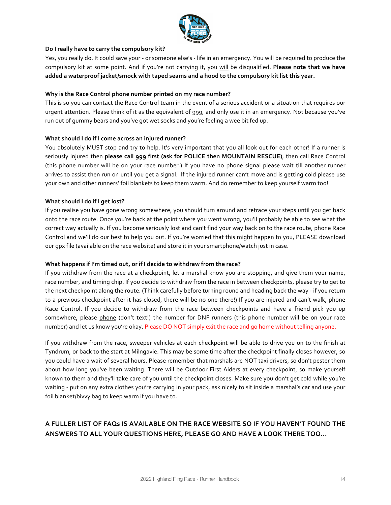

#### Do I really have to carry the compulsory kit?

Yes, you really do. It could save your - or someone else's - life in an emergency. You will be required to produce the compulsory kit at some point. And if you're not carrying it, you will be disqualified. Please note that we have added a waterproof jacket/smock with taped seams and a hood to the compulsory kit list this year.

#### Why is the Race Control phone number printed on my race number?

This is so you can contact the Race Control team in the event of a serious accident or a situation that requires our urgent attention. Please think of it as the equivalent of 999, and only use it in an emergency. Not because you've run out of qummy bears and you've got wet socks and you're feeling a wee bit fed up.

#### **What should I do if I come across an injured runner?**

You absolutely MUST stop and try to help. It's very important that you all look out for each other! If a runner is seriously injured then please call 999 first (ask for POLICE then MOUNTAIN RESCUE), then call Race Control (this phone number will be on your race number.) If you have no phone signal please wait till another runner arrives to assist then run on until you get a signal. If the injured runner can't move and is getting cold please use your own and other runners' foil blankets to keep them warm. And do remember to keep yourself warm too!

#### **What should I do if I get lost?**

If you realise you have gone wrong somewhere, you should turn around and retrace your steps until you get back onto the race route. Once you're back at the point where you went wrong, you'll probably be able to see what the correct way actually is. If you become seriously lost and can't find your way back on to the race route, phone Race Control and we'll do our best to help you out. If you're worried that this might happen to you, PLEASE download our qpx file (available on the race website) and store it in your smartphone/watch just in case.

#### **What happens if I'm timed out, or if I decide to withdraw from the race?**

If you withdraw from the race at a checkpoint, let a marshal know you are stopping, and give them your name, race number, and timing chip. If you decide to withdraw from the race in between checkpoints, please try to get to the next checkpoint along the route. (Think carefully before turning round and heading back the way - if you return to a previous checkpoint after it has closed, there will be no one there!) If you are injured and can't walk, phone Race Control. If you decide to withdraw from the race between checkpoints and have a friend pick you up somewhere, please phone (don't text!) the number for DNF runners (this phone number will be on your race number) and let us know you're okay. Please DO NOT simply exit the race and go home without telling anyone.

If you withdraw from the race, sweeper vehicles at each checkpoint will be able to drive you on to the finish at Tyndrum, or back to the start at Milngavie. This may be some time after the checkpoint finally closes however, so you could have a wait of several hours. Please remember that marshals are NOT taxi drivers, so don't pester them about how long you've been waiting. There will be Outdoor First Aiders at every checkpoint, so make yourself known to them and they'll take care of you until the checkpoint closes. Make sure you don't get cold while you're waiting - put on any extra clothes you're carrying in your pack, ask nicely to sit inside a marshal's car and use your foil blanket/bivvy bag to keep warm if you have to.

#### A FULLER LIST OF FAQs IS AVAILABLE ON THE RACE WEBSITE SO IF YOU HAVEN'T FOUND THE **ANSWERS TO ALL YOUR QUESTIONS HERE, PLEASE GO AND HAVE A LOOK THERE TOO...**